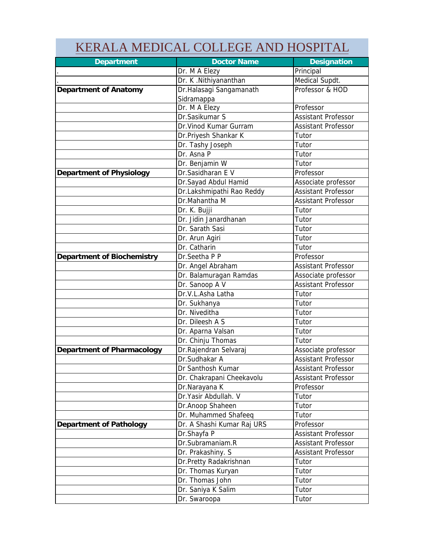|                            | KERALA MEDICAL COLLEGE AND HOSPITAL |                            |
|----------------------------|-------------------------------------|----------------------------|
| Department                 | <b>Doctor Name</b>                  | Designation                |
|                            | Dr. M A Elezy                       | Principal                  |
|                            | Dr. K.Nithiyananthan                | Medical Supdt.             |
| Department of Anatomy      | Dr.Halasagi Sangamanath             | Professor & HOD            |
|                            | Sidramappa                          | Professor                  |
|                            | Dr. M A Elezy<br>Dr.Sasikumar S     | Assistant Professor        |
|                            | Dr. Vinod Kumar Gurram              | Assistant Professor        |
|                            |                                     |                            |
|                            | Dr.Priyesh Shankar K                | Tutor                      |
|                            | Dr. Tashy Joseph<br>Dr. Asna P      | Tutor                      |
|                            |                                     | Tutor                      |
|                            | Dr. Benjamin W                      | Tutor                      |
| Department of Physiology   | Dr.Sasidharan E V                   | Professor                  |
|                            | Dr.Sayad Abdul Hamid                | Associate professor        |
|                            | Dr.Lakshmipathi Rao Reddy           | <b>Assistant Professor</b> |
|                            | Dr.Mahantha M                       | Assistant Professor        |
|                            | Dr. K. Bujji                        | Tutor                      |
|                            | Dr. Jidin Janardhanan               | Tutor                      |
|                            | Dr. Sarath Sasi                     | Tutor                      |
|                            | Dr. Arun Agiri                      | Tutor                      |
|                            | Dr. Catharin                        | Tutor                      |
| Department of Biochemistry | Dr.Seetha P P                       | Professor                  |
|                            | Dr. Angel Abraham                   | Assistant Professor        |
|                            | Dr. Balamuragan Ramdas              | Associate professor        |
|                            | Dr. Sanoop A V                      | <b>Assistant Professor</b> |
|                            | Dr.V.L.Asha Latha                   | Tutor                      |
|                            | Dr. Sukhanya                        | Tutor                      |
|                            | Dr. Niveditha                       | Tutor                      |
|                            | Dr. Dileesh A S                     | Tutor                      |
|                            | Dr. Aparna Valsan                   | Tutor                      |
|                            | Dr. Chinju Thomas                   | Tutor                      |
| Department of Pharmacology | Dr.Rajendran Selvaraj               | Associate professor        |
|                            | Dr.Sudhakar A                       | <b>Assistant Professor</b> |
|                            | Dr Santhosh Kumar                   | Assistant Professor        |
|                            | Dr. Chakrapani Cheekavolu           | Assistant Professor        |
|                            | Dr.Narayana K                       | Professor                  |
|                            | Dr.Yasir Abdullah. V                | Tutor                      |
|                            | Dr.Anoop Shaheen                    | Tutor                      |
|                            | Dr. Muhammed Shafeeq                | Tutor                      |
| Department of Pathology    | Dr. A Shashi Kumar Raj URS          | Professor                  |
|                            | Dr.Shayfa P                         | <b>Assistant Professor</b> |
|                            | Dr.Subramaniam.R                    | Assistant Professor        |
|                            |                                     | Assistant Professor        |
|                            | Dr. Prakashiny. S                   |                            |
|                            | Dr.Pretty Radakrishnan              | Tutor                      |
|                            | Dr. Thomas Kuryan                   | Tutor                      |
|                            | Dr. Thomas John                     | Tutor                      |
|                            | Dr. Saniya K Salim                  | Tutor                      |
|                            | Dr. Swaroopa                        | Tutor                      |

**College**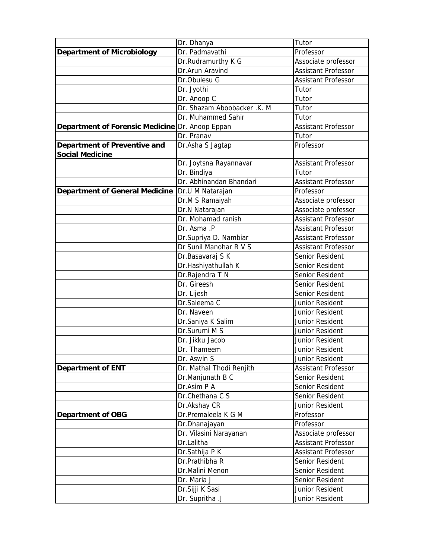|                                                 | Dr. Dhanya                  | Tutor                      |
|-------------------------------------------------|-----------------------------|----------------------------|
| Department of Microbiology                      | Dr. Padmavathi              | Professor                  |
|                                                 | Dr.Rudramurthy K G          | Associate professor        |
|                                                 | Dr.Arun Aravind             | Assistant Professor        |
|                                                 | Dr.Obulesu G                | Assistant Professor        |
|                                                 | Dr. Jyothi                  | Tutor                      |
|                                                 | Dr. Anoop C                 | Tutor                      |
|                                                 | Dr. Shazam Aboobacker .K. M | Tutor                      |
|                                                 | Dr. Muhammed Sahir          | Tutor                      |
| Department of Forensic Medicine Dr. Anoop Eppan |                             | <b>Assistant Professor</b> |
|                                                 | Dr. Pranav                  | Tutor                      |
| Department of Preventive and<br>Social Medicine | Dr.Asha S Jagtap            | Professor                  |
|                                                 | Dr. Joytsna Rayannavar      | Assistant Professor        |
|                                                 | Dr. Bindiya                 | Tutor                      |
|                                                 | Dr. Abhinandan Bhandari     | Assistant Professor        |
| Department of General Medicine                  | Dr.U M Natarajan            | Professor                  |
|                                                 | Dr.M S Ramaiyah             | Associate professor        |
|                                                 | Dr.N Natarajan              | Associate professor        |
|                                                 | Dr. Mohamad ranish          | Assistant Professor        |
|                                                 | Dr. Asma .P                 | Assistant Professor        |
|                                                 | Dr.Supriya D. Nambiar       | Assistant Professor        |
|                                                 | Dr Sunil Manohar R V S      | Assistant Professor        |
|                                                 | Dr.Basavaraj S K            | Senior Resident            |
|                                                 | Dr.Hashiyathullah K         | Senior Resident            |
|                                                 | Dr.Rajendra T N             | Senior Resident            |
|                                                 | Dr. Gireesh                 | Senior Resident            |
|                                                 | Dr. Lijesh                  | Senior Resident            |
|                                                 | Dr.Saleema C                | Junior Resident            |
|                                                 | Dr. Naveen                  | Junior Resident            |
|                                                 | Dr.Saniya K Salim           | Junior Resident            |
|                                                 | Dr.Surumi M S               | Junior Resident            |
|                                                 | Dr. Jikku Jacob             | Junior Resident            |
|                                                 | Dr. Thameem                 | Junior Resident            |
|                                                 | Dr. Aswin S                 | Junior Resident            |
| Department of ENT                               | Dr. Mathal Thodi Renjith    | Assistant Professor        |
|                                                 | Dr.Manjunath B C            | Senior Resident            |
|                                                 | Dr.Asim P A                 | Senior Resident            |
|                                                 | Dr.Chethana C S             | Senior Resident            |
|                                                 | Dr.Akshay CR                | Junior Resident            |
| Department of OBG                               | Dr.Premaleela K G M         | Professor                  |
|                                                 | Dr.Dhanajayan               | Professor                  |
|                                                 | Dr. Vilasini Narayanan      | Associate professor        |
|                                                 | Dr.Lalitha                  | Assistant Professor        |
|                                                 | Dr.Sathija P K              | <b>Assistant Professor</b> |
|                                                 | Dr.Prathibha R              | Senior Resident            |
|                                                 | Dr.Malini Menon             | Senior Resident            |
|                                                 | Dr. Maria J                 | Senior Resident            |
|                                                 | Dr.Sijji K Sasi             | Junior Resident            |
|                                                 | Dr. Supritha .J             | Junior Resident            |
|                                                 |                             |                            |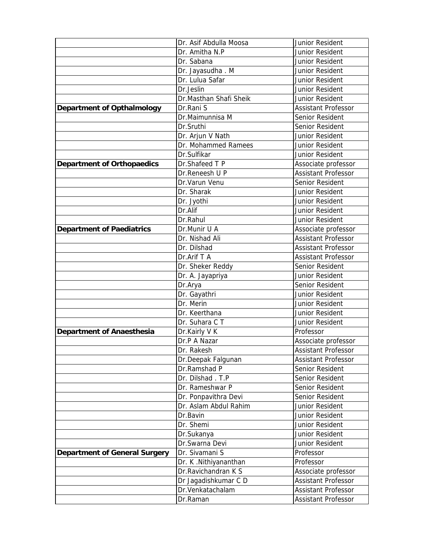|                               | Dr. Asif Abdulla Moosa | Junior Resident            |
|-------------------------------|------------------------|----------------------------|
|                               | Dr. Amitha N.P         | Junior Resident            |
|                               | Dr. Sabana             | Junior Resident            |
|                               | Dr. Jayasudha. M       | Junior Resident            |
|                               | Dr. Lulua Safar        | Junior Resident            |
|                               | Dr.Jeslin              | Junior Resident            |
|                               | Dr.Masthan Shafi Sheik | Junior Resident            |
| Department of Opthalmology    | Dr.Rani S              | Assistant Professor        |
|                               | Dr.Maimunnisa M        | Senior Resident            |
|                               | Dr.Sruthi              | Senior Resident            |
|                               | Dr. Arjun V Nath       | Junior Resident            |
|                               | Dr. Mohammed Ramees    | Junior Resident            |
|                               | Dr.Sulfikar            | Junior Resident            |
| Department of Orthopaedics    | Dr.Shafeed T P         | Associate professor        |
|                               | Dr.Reneesh U P         | <b>Assistant Professor</b> |
|                               | Dr.Varun Venu          | Senior Resident            |
|                               | Dr. Sharak             | Junior Resident            |
|                               | Dr. Jyothi             | Junior Resident            |
|                               | Dr.Alif                | Junior Resident            |
|                               | Dr.Rahul               | Junior Resident            |
| Department of Paediatrics     | Dr.Munir U A           | Associate professor        |
|                               | Dr. Nishad Ali         | Assistant Professor        |
|                               | Dr. Dilshad            | <b>Assistant Professor</b> |
|                               | Dr.Arif T A            | Assistant Professor        |
|                               | Dr. Sheker Reddy       | Senior Resident            |
|                               | Dr. A. Jayapriya       | Junior Resident            |
|                               | Dr.Arya                | Senior Resident            |
|                               | Dr. Gayathri           | Junior Resident            |
|                               | Dr. Merin              | Junior Resident            |
|                               | Dr. Keerthana          | Junior Resident            |
|                               | Dr. Suhara C T         | Junior Resident            |
| Department of Anaesthesia     | Dr.Kairly V K          | Professor                  |
|                               | Dr.P A Nazar           | Associate professor        |
|                               | Dr. Rakesh             | <b>Assistant Professor</b> |
|                               | Dr.Deepak Falgunan     | <b>Assistant Professor</b> |
|                               | Dr.Ramshad P           | Senior Resident            |
|                               | Dr. Dilshad. T.P       | Senior Resident            |
|                               | Dr. Rameshwar P        | Senior Resident            |
|                               | Dr. Ponpavithra Devi   | Senior Resident            |
|                               | Dr. Aslam Abdul Rahim  | Junior Resident            |
|                               | Dr.Bavin               | Junior Resident            |
|                               | Dr. Shemi              | Junior Resident            |
|                               | Dr.Sukanya             | Junior Resident            |
|                               | Dr.Swarna Devi         | Junior Resident            |
| Department of General Surgery | Dr. Sivamani S         | Professor                  |
|                               | Dr. K.Nithiyananthan   | Professor                  |
|                               | Dr.Ravichandran K S    | Associate professor        |
|                               | Dr Jagadishkumar C D   | Assistant Professor        |
|                               | Dr.Venkatachalam       | Assistant Professor        |
|                               | Dr.Raman               | Assistant Professor        |
|                               |                        |                            |